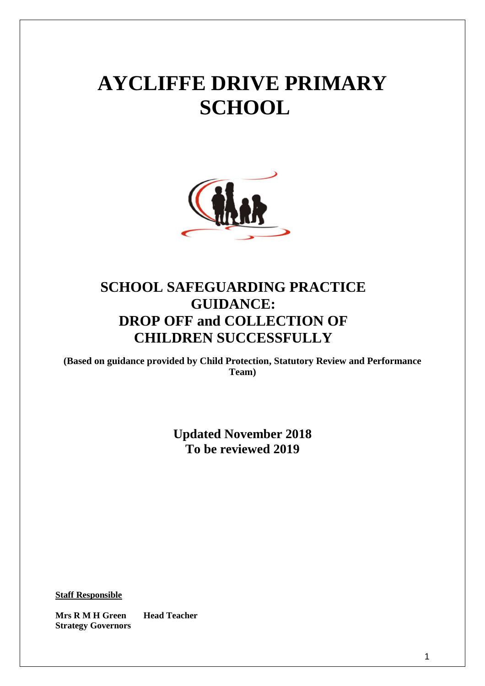# **AYCLIFFE DRIVE PRIMARY SCHOOL**



# **SCHOOL SAFEGUARDING PRACTICE GUIDANCE: DROP OFF and COLLECTION OF CHILDREN SUCCESSFULLY**

**(Based on guidance provided by Child Protection, Statutory Review and Performance Team)**

> **Updated November 2018 To be reviewed 2019**

**Staff Responsible**

**Mrs R M H Green Head Teacher Strategy Governors**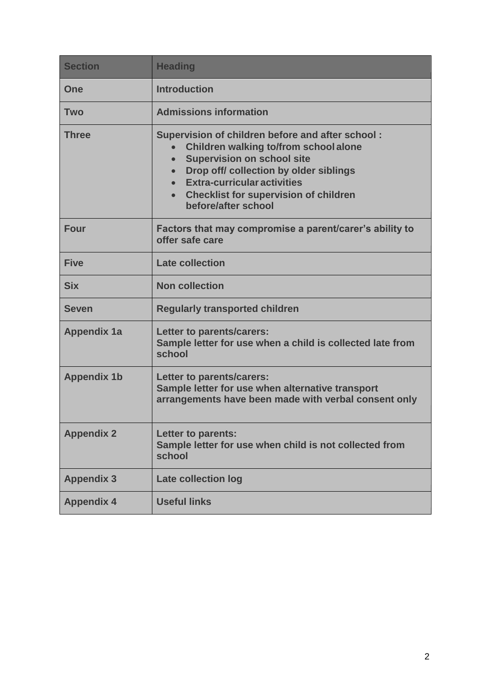| <b>Section</b>     | <b>Heading</b>                                                                                                                                                                                                                                                                                                                            |  |
|--------------------|-------------------------------------------------------------------------------------------------------------------------------------------------------------------------------------------------------------------------------------------------------------------------------------------------------------------------------------------|--|
| One                | <b>Introduction</b>                                                                                                                                                                                                                                                                                                                       |  |
| <b>Two</b>         | <b>Admissions information</b>                                                                                                                                                                                                                                                                                                             |  |
| <b>Three</b>       | Supervision of children before and after school:<br>Children walking to/from school alone<br><b>Supervision on school site</b><br>$\bullet$<br>Drop off/ collection by older siblings<br>$\bullet$<br><b>Extra-curricular activities</b><br>$\bullet$<br><b>Checklist for supervision of children</b><br>$\bullet$<br>before/after school |  |
| <b>Four</b>        | Factors that may compromise a parent/carer's ability to<br>offer safe care                                                                                                                                                                                                                                                                |  |
| <b>Five</b>        | <b>Late collection</b>                                                                                                                                                                                                                                                                                                                    |  |
| <b>Six</b>         | <b>Non collection</b>                                                                                                                                                                                                                                                                                                                     |  |
| <b>Seven</b>       | <b>Regularly transported children</b>                                                                                                                                                                                                                                                                                                     |  |
| <b>Appendix 1a</b> | Letter to parents/carers:<br>Sample letter for use when a child is collected late from<br>school                                                                                                                                                                                                                                          |  |
| <b>Appendix 1b</b> | Letter to parents/carers:<br>Sample letter for use when alternative transport<br>arrangements have been made with verbal consent only                                                                                                                                                                                                     |  |
| <b>Appendix 2</b>  | <b>Letter to parents:</b><br>Sample letter for use when child is not collected from<br>school                                                                                                                                                                                                                                             |  |
| <b>Appendix 3</b>  | <b>Late collection log</b>                                                                                                                                                                                                                                                                                                                |  |
| <b>Appendix 4</b>  | <b>Useful links</b>                                                                                                                                                                                                                                                                                                                       |  |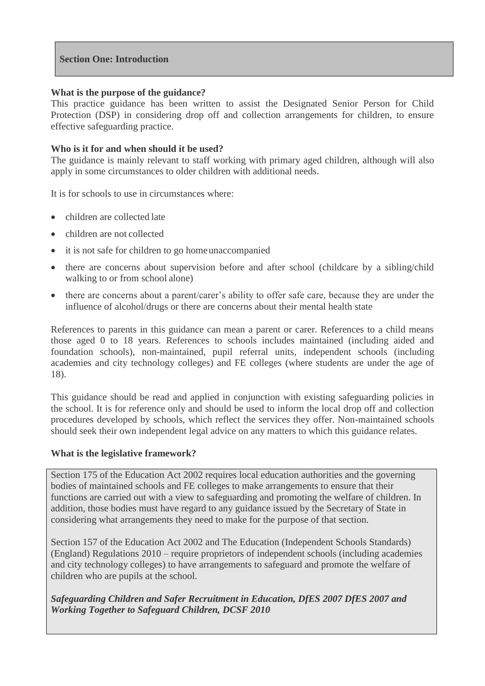#### **Section One: Introduction**

#### **What is the purpose of the guidance?**

This practice guidance has been written to assist the Designated Senior Person for Child Protection (DSP) in considering drop off and collection arrangements for children, to ensure effective safeguarding practice.

#### **Who is it for and when should it be used?**

The guidance is mainly relevant to staff working with primary aged children, although will also apply in some circumstances to older children with additional needs.

It is for schools to use in circumstances where:

- children are collected late
- children are not collected
- it is not safe for children to go homeunaccompanied
- there are concerns about supervision before and after school (childcare by a sibling/child walking to or from school alone)
- there are concerns about a parent/carer's ability to offer safe care, because they are under the influence of alcohol/drugs or there are concerns about their mental health state

References to parents in this guidance can mean a parent or carer. References to a child means those aged 0 to 18 years. References to schools includes maintained (including aided and foundation schools), non-maintained, pupil referral units, independent schools (including academies and city technology colleges) and FE colleges (where students are under the age of 18).

This guidance should be read and applied in conjunction with existing safeguarding policies in the school. It is for reference only and should be used to inform the local drop off and collection procedures developed by schools, which reflect the services they offer. Non-maintained schools should seek their own independent legal advice on any matters to which this guidance relates.

#### **What is the legislative framework?**

Section 175 of the Education Act 2002 requires local education authorities and the governing bodies of maintained schools and FE colleges to make arrangements to ensure that their functions are carried out with a view to safeguarding and promoting the welfare of children. In addition, those bodies must have regard to any guidance issued by the Secretary of State in considering what arrangements they need to make for the purpose of that section.

Section 157 of the Education Act 2002 and The Education (Independent Schools Standards) (England) Regulations 2010 – require proprietors of independent schools (including academies and city technology colleges) to have arrangements to safeguard and promote the welfare of children who are pupils at the school.

*Safeguarding Children and Safer Recruitment in Education, DfES 2007 DfES 2007 and Working Together to Safeguard Children, DCSF 2010*

3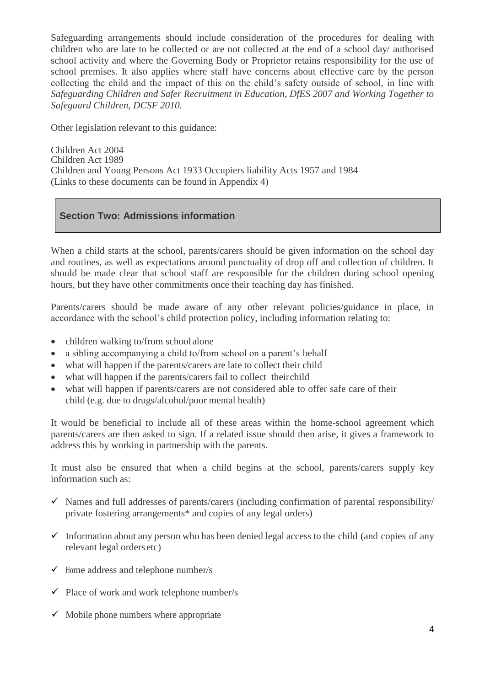Safeguarding arrangements should include consideration of the procedures for dealing with children who are late to be collected or are not collected at the end of a school day/ authorised school activity and where the Governing Body or Proprietor retains responsibility for the use of school premises. It also applies where staff have concerns about effective care by the person collecting the child and the impact of this on the child's safety outside of school, in line with *Safeguarding Children and Safer Recruitment in Education, DfES 2007 and Working Together to Safeguard Children, DCSF 2010.*

Other legislation relevant to this guidance:

Children Act 2004 Children Act 1989 Children and Young Persons Act 1933 Occupiers liability Acts 1957 and 1984 (Links to these documents can be found in Appendix 4)

# **Section Two: Admissions information**

When a child starts at the school, parents/carers should be given information on the school day and routines, as well as expectations around punctuality of drop off and collection of children. It should be made clear that school staff are responsible for the children during school opening hours, but they have other commitments once their teaching day has finished.

Parents/carers should be made aware of any other relevant policies/guidance in place, in accordance with the school's child protection policy, including information relating to:

- children walking to/from school alone
- a sibling accompanying a child to/from school on a parent's behalf
- what will happen if the parents/carers are late to collect their child
- what will happen if the parents/carers fail to collect theirchild
- what will happen if parents/carers are not considered able to offer safe care of their child (e.g. due to drugs/alcohol/poor mental health)

It would be beneficial to include all of these areas within the home-school agreement which parents/carers are then asked to sign. If a related issue should then arise, it gives a framework to address this by working in partnership with the parents.

It must also be ensured that when a child begins at the school, parents/carers supply key information such as:

- $\checkmark$  Names and full addresses of parents/carers (including confirmation of parental responsibility/ private fostering arrangements\* and copies of any legal orders)
- $\checkmark$  Information about any person who has been denied legal access to the child (and copies of any relevant legal orders etc)
- $\checkmark$  Home address and telephone number/s
- $\checkmark$  Place of work and work telephone number/s
- $\checkmark$  Mobile phone numbers where appropriate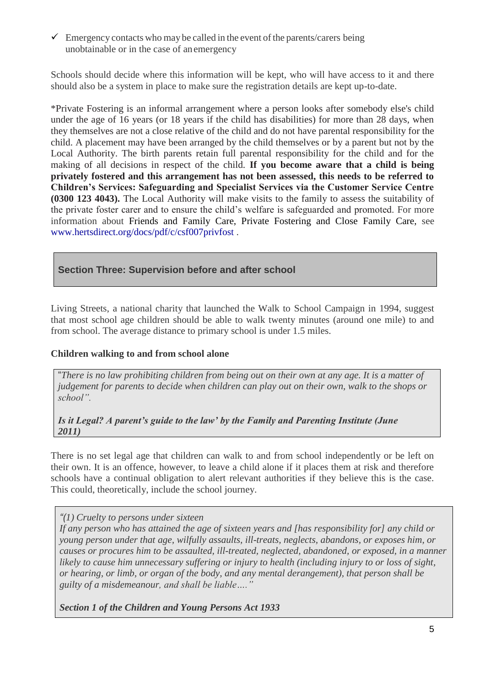$\checkmark$  Emergency contacts who may be called in the event of the parents/carers being unobtainable or in the case of anemergency

Schools should decide where this information will be kept, who will have access to it and there should also be a system in place to make sure the registration details are kept up-to-date.

\*Private Fostering is an informal arrangement where a person looks after somebody else's child under the age of 16 years (or 18 years if the child has disabilities) for more than 28 days, when they themselves are not a close relative of the child and do not have parental responsibility for the child. A placement may have been arranged by the child themselves or by a parent but not by the Local Authority. The birth parents retain full parental responsibility for the child and for the making of all decisions in respect of the child. **If you become aware that a child is being privately fostered and this arrangement has not been assessed, this needs to be referred to Children's Services: Safeguarding and Specialist Services via the Customer Service Centre (0300 123 4043).** The Local Authority will make visits to the family to assess the suitability of the private foster carer and to ensure the child's welfare is safeguarded and promoted. For more information about Friends and Family Care, Private Fostering and Close Family Care, see [www.hertsdirect.org/docs/pdf/c/csf007privfost](http://www.hertsdirect.org/docs/pdf/c/csf007privfost) .

# **Section Three: Supervision before and after school**

Living Streets, a national charity that launched the Walk to School Campaign in 1994, suggest that most school age children should be able to walk twenty minutes (around one mile) to and from school. The average distance to primary school is under 1.5 miles.

#### **Children walking to and from school alone**

"*There is no law prohibiting children from being out on their own at any age. It is a matter of judgement for parents to decide when children can play out on their own, walk to the shops or school".*

#### *Is it Legal? A parent's guide to the law' by the Family and Parenting Institute (June 2011)*

There is no set legal age that children can walk to and from school independently or be left on their own. It is an offence, however, to leave a child alone if it places them at risk and therefore schools have a continual obligation to alert relevant authorities if they believe this is the case. This could, theoretically, include the school journey.

*"(1) Cruelty to persons under sixteen*

*If any person who has attained the age of sixteen years and [has responsibility for] any child or young person under that age, wilfully assaults, ill-treats, neglects, abandons, or exposes him, or causes or procures him to be assaulted, ill-treated, neglected, abandoned, or exposed, in a manner likely to cause him unnecessary suffering or injury to health (including injury to or loss of sight, or hearing, or limb, or organ of the body, and any mental derangement), that person shall be guilty of a misdemeanour, and shall be liable…."*

*Section 1 of the Children and Young Persons Act 1933*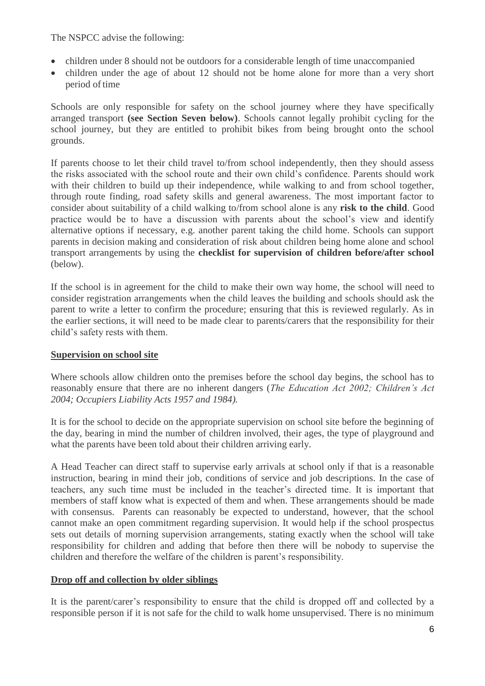The NSPCC advise the following:

- children under 8 should not be outdoors for a considerable length of time unaccompanied
- children under the age of about 12 should not be home alone for more than a very short period of time

Schools are only responsible for safety on the school journey where they have specifically arranged transport **(see Section Seven below)**. Schools cannot legally prohibit cycling for the school journey, but they are entitled to prohibit bikes from being brought onto the school grounds.

If parents choose to let their child travel to/from school independently, then they should assess the risks associated with the school route and their own child's confidence. Parents should work with their children to build up their independence, while walking to and from school together, through route finding, road safety skills and general awareness. The most important factor to consider about suitability of a child walking to/from school alone is any **risk to the child**. Good practice would be to have a discussion with parents about the school's view and identify alternative options if necessary, e.g. another parent taking the child home. Schools can support parents in decision making and consideration of risk about children being home alone and school transport arrangements by using the **checklist for supervision of children before/after school**  (below).

If the school is in agreement for the child to make their own way home, the school will need to consider registration arrangements when the child leaves the building and schools should ask the parent to write a letter to confirm the procedure; ensuring that this is reviewed regularly. As in the earlier sections, it will need to be made clear to parents/carers that the responsibility for their child's safety rests with them.

#### **Supervision on school site**

Where schools allow children onto the premises before the school day begins, the school has to reasonably ensure that there are no inherent dangers (*The Education Act 2002; Children's Act 2004; Occupiers Liability Acts 1957 and 1984).*

It is for the school to decide on the appropriate supervision on school site before the beginning of the day, bearing in mind the number of children involved, their ages, the type of playground and what the parents have been told about their children arriving early.

A Head Teacher can direct staff to supervise early arrivals at school only if that is a reasonable instruction, bearing in mind their job, conditions of service and job descriptions. In the case of teachers, any such time must be included in the teacher's directed time. It is important that members of staff know what is expected of them and when. These arrangements should be made with consensus. Parents can reasonably be expected to understand, however, that the school cannot make an open commitment regarding supervision. It would help if the school prospectus sets out details of morning supervision arrangements, stating exactly when the school will take responsibility for children and adding that before then there will be nobody to supervise the children and therefore the welfare of the children is parent's responsibility.

#### **Drop off and collection by older siblings**

It is the parent/carer's responsibility to ensure that the child is dropped off and collected by a responsible person if it is not safe for the child to walk home unsupervised. There is no minimum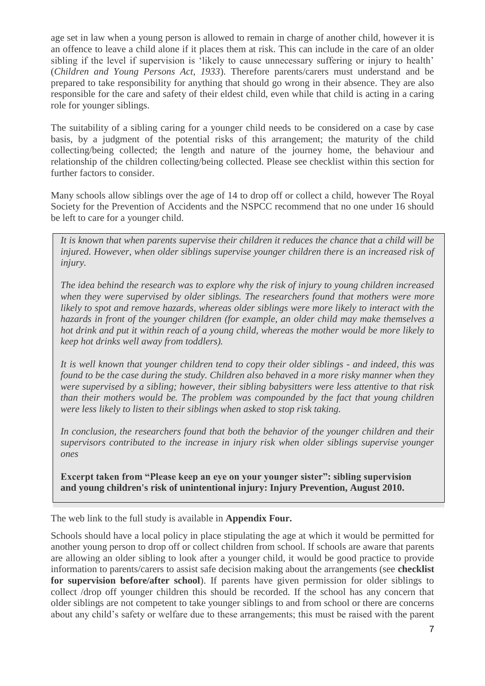age set in law when a young person is allowed to remain in charge of another child, however it is an offence to leave a child alone if it places them at risk. This can include in the care of an older sibling if the level if supervision is 'likely to cause unnecessary suffering or injury to health' (*Children and Young Persons Act, 1933*). Therefore parents/carers must understand and be prepared to take responsibility for anything that should go wrong in their absence. They are also responsible for the care and safety of their eldest child, even while that child is acting in a caring role for younger siblings.

The suitability of a sibling caring for a younger child needs to be considered on a case by case basis, by a judgment of the potential risks of this arrangement; the maturity of the child collecting/being collected; the length and nature of the journey home, the behaviour and relationship of the children collecting/being collected. Please see checklist within this section for further factors to consider.

Many schools allow siblings over the age of 14 to drop off or collect a child, however The Royal Society for the Prevention of Accidents and the NSPCC recommend that no one under 16 should be left to care for a younger child.

*It is known that when parents supervise their children it reduces the chance that a child will be injured. However, when older siblings supervise younger children there is an increased risk of injury.*

*The idea behind the research was to explore why the risk of injury to young children increased when they were supervised by older siblings. The researchers found that mothers were more likely to spot and remove hazards, whereas older siblings were more likely to interact with the hazards in front of the younger children (for example, an older child may make themselves a hot drink and put it within reach of a young child, whereas the mother would be more likely to keep hot drinks well away from toddlers).*

*It is well known that younger children tend to copy their older siblings - and indeed, this was found to be the case during the study. Children also behaved in a more risky manner when they were supervised by a sibling; however, their sibling babysitters were less attentive to that risk than their mothers would be. The problem was compounded by the fact that young children were less likely to listen to their siblings when asked to stop risk taking.*

*In conclusion, the researchers found that both the behavior of the younger children and their supervisors contributed to the increase in injury risk when older siblings supervise younger ones*

**Excerpt taken from "Please keep an eye on your younger sister": sibling supervision and young children's risk of unintentional injury: Injury Prevention, August 2010.**

The web link to the full study is available in **Appendix Four.**

Schools should have a local policy in place stipulating the age at which it would be permitted for another young person to drop off or collect children from school. If schools are aware that parents are allowing an older sibling to look after a younger child, it would be good practice to provide information to parents/carers to assist safe decision making about the arrangements (see **checklist for supervision before/after school**). If parents have given permission for older siblings to collect /drop off younger children this should be recorded. If the school has any concern that older siblings are not competent to take younger siblings to and from school or there are concerns about any child's safety or welfare due to these arrangements; this must be raised with the parent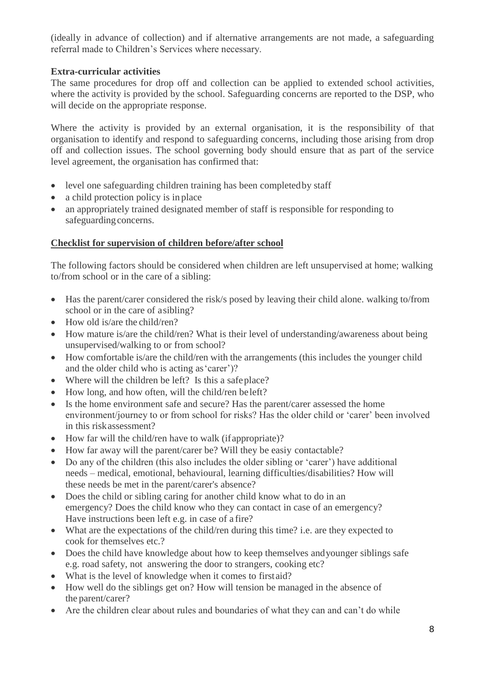(ideally in advance of collection) and if alternative arrangements are not made, a safeguarding referral made to Children's Services where necessary.

# **Extra-curricular activities**

The same procedures for drop off and collection can be applied to extended school activities, where the activity is provided by the school. Safeguarding concerns are reported to the DSP, who will decide on the appropriate response.

Where the activity is provided by an external organisation, it is the responsibility of that organisation to identify and respond to safeguarding concerns, including those arising from drop off and collection issues. The school governing body should ensure that as part of the service level agreement, the organisation has confirmed that:

- level one safeguarding children training has been completed by staff
- a child protection policy is in place
- an appropriately trained designated member of staff is responsible for responding to safeguarding concerns.

## **Checklist for supervision of children before/after school**

The following factors should be considered when children are left unsupervised at home; walking to/from school or in the care of a sibling:

- Has the parent/carer considered the risk/s posed by leaving their child alone. walking to/from school or in the care of asibling?
- How old is/are the child/ren?
- How mature is/are the child/ren? What is their level of understanding/awareness about being unsupervised/walking to or from school?
- How comfortable is/are the child/ren with the arrangements (this includes the younger child and the older child who is acting as'carer')?
- Where will the children be left? Is this a safe place?
- How long, and how often, will the child/ren be left?
- Is the home environment safe and secure? Has the parent/carer assessed the home environment/journey to or from school for risks? Has the older child or 'carer' been involved in this riskassessment?
- How far will the child/ren have to walk (if appropriate)?
- How far away will the parent/carer be? Will they be easiy contactable?
- Do any of the children (this also includes the older sibling or 'carer') have additional needs – medical, emotional, behavioural, learning difficulties/disabilities? How will these needs be met in the parent/carer's absence?
- Does the child or sibling caring for another child know what to do in an emergency? Does the child know who they can contact in case of an emergency? Have instructions been left e.g. in case of a fire?
- What are the expectations of the child/ren during this time? i.e. are they expected to cook for themselves etc.?
- Does the child have knowledge about how to keep themselves andyounger siblings safe e.g. road safety, not answering the door to strangers, cooking etc?
- What is the level of knowledge when it comes to firstaid?
- How well do the siblings get on? How will tension be managed in the absence of the parent/carer?
- Are the children clear about rules and boundaries of what they can and can't do while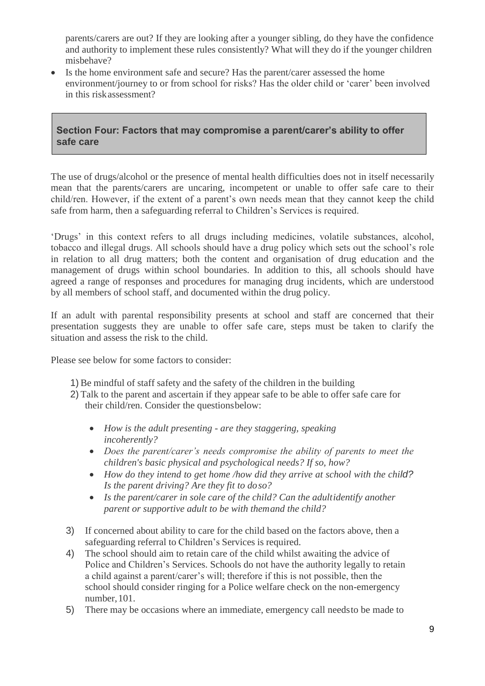parents/carers are out? If they are looking after a younger sibling, do they have the confidence and authority to implement these rules consistently? What will they do if the younger children misbehave?

• Is the home environment safe and secure? Has the parent/carer assessed the home environment/journey to or from school for risks? Has the older child or 'carer' been involved in this riskassessment?

# **Section Four: Factors that may compromise a parent/carer's ability to offer safe care**

The use of drugs/alcohol or the presence of mental health difficulties does not in itself necessarily mean that the parents/carers are uncaring, incompetent or unable to offer safe care to their child/ren. However, if the extent of a parent's own needs mean that they cannot keep the child safe from harm, then a safeguarding referral to Children's Services is required.

'Drugs' in this context refers to all drugs including medicines, volatile substances, alcohol, tobacco and illegal drugs. All schools should have a drug policy which sets out the school's role in relation to all drug matters; both the content and organisation of drug education and the management of drugs within school boundaries. In addition to this, all schools should have agreed a range of responses and procedures for managing drug incidents, which are understood by all members of school staff, and documented within the drug policy.

If an adult with parental responsibility presents at school and staff are concerned that their presentation suggests they are unable to offer safe care, steps must be taken to clarify the situation and assess the risk to the child.

Please see below for some factors to consider:

- 1) Be mindful of staff safety and the safety of the children in the building
- 2) Talk to the parent and ascertain if they appear safe to be able to offer safe care for their child/ren. Consider the questionsbelow:
	- *How is the adult presenting - are they staggering, speaking incoherently?*
	- *Does the parent/carer's needs compromise the ability of parents to meet the children's basic physical and psychological needs? If so, how?*
	- *How do they intend to get home /how did they arrive at school with the child? Is the parent driving? Are they fit to doso?*
	- *Is the parent/carer in sole care of the child? Can the adultidentify another parent or supportive adult to be with themand the child?*
- 3) If concerned about ability to care for the child based on the factors above, then a safeguarding referral to Children's Services is required.
- 4) The school should aim to retain care of the child whilst awaiting the advice of Police and Children's Services. Schools do not have the authority legally to retain a child against a parent/carer's will; therefore if this is not possible, then the school should consider ringing for a Police welfare check on the non-emergency number,101.
- 5) There may be occasions where an immediate, emergency call needsto be made to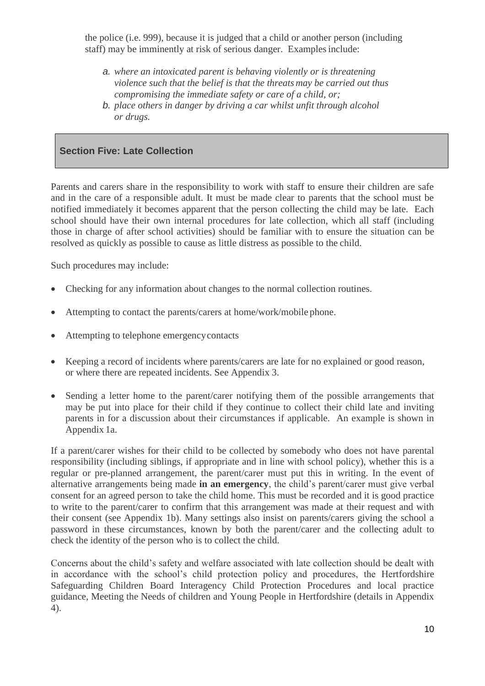the police (i.e. 999), because it is judged that a child or another person (including staff) may be imminently at risk of serious danger. Examples include:

- *a. where an intoxicated parent is behaving violently or is threatening violence such that the belief is that the threats may be carried out thus compromising the immediate safety or care of a child, or;*
- *b. place others in danger by driving a car whilst unfit through alcohol or drugs.*

#### **Section Five: Late Collection**

Parents and carers share in the responsibility to work with staff to ensure their children are safe and in the care of a responsible adult. It must be made clear to parents that the school must be notified immediately it becomes apparent that the person collecting the child may be late. Each school should have their own internal procedures for late collection, which all staff (including those in charge of after school activities) should be familiar with to ensure the situation can be resolved as quickly as possible to cause as little distress as possible to the child.

Such procedures may include:

- Checking for any information about changes to the normal collection routines.
- Attempting to contact the parents/carers at home/work/mobile phone.
- Attempting to telephone emergencycontacts
- Keeping a record of incidents where parents/carers are late for no explained or good reason, or where there are repeated incidents. See Appendix 3.
- Sending a letter home to the parent/carer notifying them of the possible arrangements that may be put into place for their child if they continue to collect their child late and inviting parents in for a discussion about their circumstances if applicable. An example is shown in Appendix 1a.

If a parent/carer wishes for their child to be collected by somebody who does not have parental responsibility (including siblings, if appropriate and in line with school policy), whether this is a regular or pre-planned arrangement, the parent/carer must put this in writing. In the event of alternative arrangements being made **in an emergency**, the child's parent/carer must give verbal consent for an agreed person to take the child home. This must be recorded and it is good practice to write to the parent/carer to confirm that this arrangement was made at their request and with their consent (see Appendix 1b). Many settings also insist on parents/carers giving the school a password in these circumstances, known by both the parent/carer and the collecting adult to check the identity of the person who is to collect the child.

Concerns about the child's safety and welfare associated with late collection should be dealt with in accordance with the school's child protection policy and procedures, the Hertfordshire Safeguarding Children Board Interagency Child Protection Procedures and local practice guidance, Meeting the Needs of children and Young People in Hertfordshire (details in Appendix 4).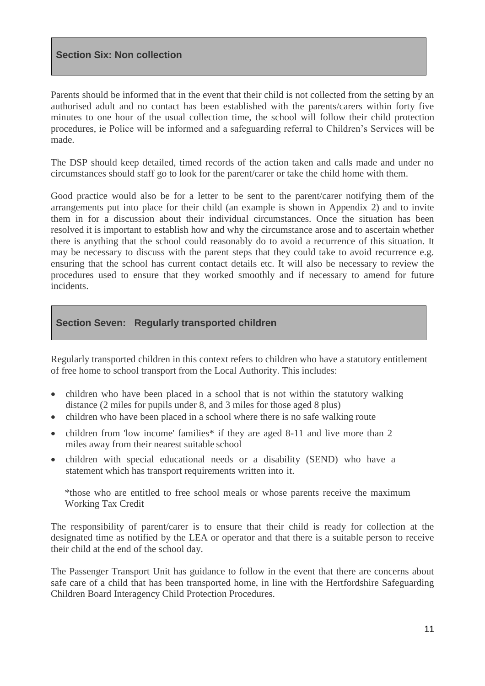Parents should be informed that in the event that their child is not collected from the setting by an authorised adult and no contact has been established with the parents/carers within forty five minutes to one hour of the usual collection time, the school will follow their child protection procedures, ie Police will be informed and a safeguarding referral to Children's Services will be made.

The DSP should keep detailed, timed records of the action taken and calls made and under no circumstances should staff go to look for the parent/carer or take the child home with them.

Good practice would also be for a letter to be sent to the parent/carer notifying them of the arrangements put into place for their child (an example is shown in Appendix 2) and to invite them in for a discussion about their individual circumstances. Once the situation has been resolved it is important to establish how and why the circumstance arose and to ascertain whether there is anything that the school could reasonably do to avoid a recurrence of this situation. It may be necessary to discuss with the parent steps that they could take to avoid recurrence e.g. ensuring that the school has current contact details etc. It will also be necessary to review the procedures used to ensure that they worked smoothly and if necessary to amend for future incidents.

#### **Section Seven: Regularly transported children**

Regularly transported children in this context refers to children who have a statutory entitlement of free home to school transport from the Local Authority. This includes:

- children who have been placed in a school that is not within the statutory walking distance (2 miles for pupils under 8, and 3 miles for those aged 8 plus)
- children who have been placed in a school where there is no safe walking route
- children from 'low income' families\* if they are aged 8-11 and live more than 2 miles away from their nearest suitable school
- children with special educational needs or a disability (SEND) who have a statement which has transport requirements written into it.

\*those who are entitled to free school meals or whose parents receive the maximum Working Tax Credit

The responsibility of parent/carer is to ensure that their child is ready for collection at the designated time as notified by the LEA or operator and that there is a suitable person to receive their child at the end of the school day.

The Passenger Transport Unit has guidance to follow in the event that there are concerns about safe care of a child that has been transported home, in line with the Hertfordshire Safeguarding Children Board Interagency Child Protection Procedures.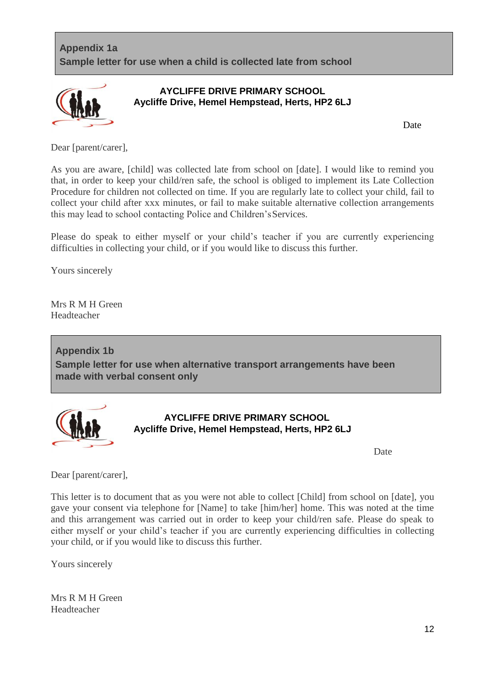# **Appendix 1a Sample letter for use when a child is collected late from school**



# **AYCLIFFE DRIVE PRIMARY SCHOOL Aycliffe Drive, Hemel Hempstead, Herts, HP2 6LJ**

Date

Dear [parent/carer],

As you are aware, [child] was collected late from school on [date]. I would like to remind you that, in order to keep your child/ren safe, the school is obliged to implement its Late Collection Procedure for children not collected on time. If you are regularly late to collect your child, fail to collect your child after xxx minutes, or fail to make suitable alternative collection arrangements this may lead to school contacting Police and Children'sServices.

Please do speak to either myself or your child's teacher if you are currently experiencing difficulties in collecting your child, or if you would like to discuss this further.

Yours sincerely

Mrs R M H Green Headteacher

**Appendix 1b Sample letter for use when alternative transport arrangements have been made with verbal consent only**



**AYCLIFFE DRIVE PRIMARY SCHOOL Aycliffe Drive, Hemel Hempstead, Herts, HP2 6LJ**

Date

Dear [parent/carer],

This letter is to document that as you were not able to collect [Child] from school on [date], you gave your consent via telephone for [Name] to take [him/her] home. This was noted at the time and this arrangement was carried out in order to keep your child/ren safe. Please do speak to either myself or your child's teacher if you are currently experiencing difficulties in collecting your child, or if you would like to discuss this further.

Yours sincerely

Mrs R M H Green Headteacher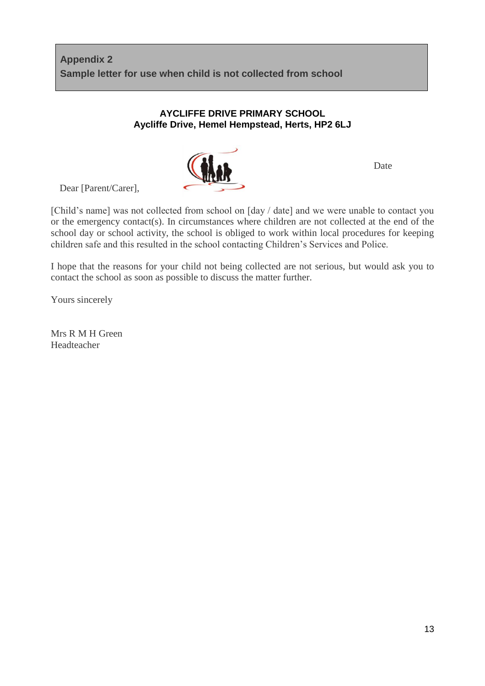# **AYCLIFFE DRIVE PRIMARY SCHOOL Aycliffe Drive, Hemel Hempstead, Herts, HP2 6LJ**



Date

Dear [Parent/Carer],

[Child's name] was not collected from school on [day / date] and we were unable to contact you or the emergency contact(s). In circumstances where children are not collected at the end of the school day or school activity, the school is obliged to work within local procedures for keeping children safe and this resulted in the school contacting Children's Services and Police.

I hope that the reasons for your child not being collected are not serious, but would ask you to contact the school as soon as possible to discuss the matter further.

Yours sincerely

Mrs R M H Green Headteacher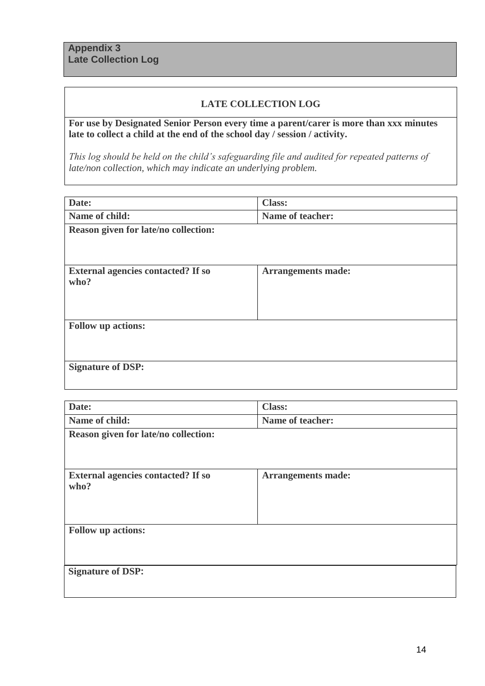#### **LATE COLLECTION LOG**

**For use by Designated Senior Person every time a parent/carer is more than xxx minutes late to collect a child at the end of the school day / session / activity.**

*This log should be held on the child's safeguarding file and audited for repeated patterns of late/non collection, which may indicate an underlying problem.*

| Date:                                     | <b>Class:</b>             |  |  |
|-------------------------------------------|---------------------------|--|--|
| Name of child:                            | Name of teacher:          |  |  |
| Reason given for late/no collection:      |                           |  |  |
|                                           |                           |  |  |
|                                           |                           |  |  |
| <b>External agencies contacted? If so</b> | <b>Arrangements made:</b> |  |  |
| who?                                      |                           |  |  |
|                                           |                           |  |  |
|                                           |                           |  |  |
| <b>Follow up actions:</b>                 |                           |  |  |
|                                           |                           |  |  |
|                                           |                           |  |  |
| <b>Signature of DSP:</b>                  |                           |  |  |
|                                           |                           |  |  |

| Date:                                     | <b>Class:</b>             |  |  |
|-------------------------------------------|---------------------------|--|--|
| Name of child:                            | Name of teacher:          |  |  |
| Reason given for late/no collection:      |                           |  |  |
|                                           |                           |  |  |
|                                           |                           |  |  |
| <b>External agencies contacted? If so</b> | <b>Arrangements made:</b> |  |  |
| who?                                      |                           |  |  |
|                                           |                           |  |  |
|                                           |                           |  |  |
| <b>Follow up actions:</b>                 |                           |  |  |
|                                           |                           |  |  |
|                                           |                           |  |  |
| <b>Signature of DSP:</b>                  |                           |  |  |
|                                           |                           |  |  |
|                                           |                           |  |  |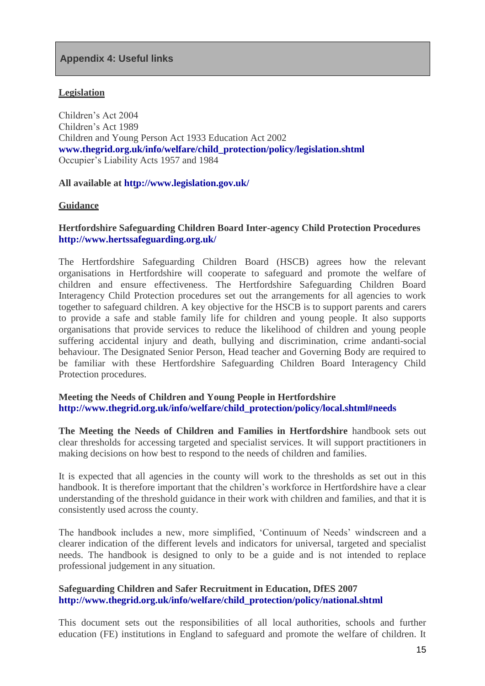#### **Legislation**

Children's Act 2004 Children's Act 1989 Children and Young Person Act 1933 Education Act 2002 **[www.thegrid.org.uk/info/welfare/child\\_protection/policy/legislation.shtml](http://www.thegrid.org.uk/info/welfare/child_protection/policy/legislation.shtml)** Occupier's Liability Acts 1957 and 1984

#### **All available at<http://www.legislation.gov.uk/>**

#### **Guidance**

#### **Hertfordshire Safeguarding Children Board Inter-agency Child Protection Procedures <http://www.hertssafeguarding.org.uk/>**

The Hertfordshire Safeguarding Children Board (HSCB) agrees how the relevant organisations in Hertfordshire will cooperate to safeguard and promote the welfare of children and ensure effectiveness. The Hertfordshire Safeguarding Children Board Interagency Child Protection procedures set out the arrangements for all agencies to work together to safeguard children. A key objective for the HSCB is to support parents and carers to provide a safe and stable family life for children and young people. It also supports organisations that provide services to reduce the likelihood of children and young people suffering accidental injury and death, bullying and discrimination, crime andanti-social behaviour. The Designated Senior Person, Head teacher and Governing Body are required to be familiar with these Hertfordshire Safeguarding Children Board Interagency Child Protection procedures.

#### **Meeting the Needs of Children and Young People in Hertfordshire [http://www.thegrid.org.uk/info/welfare/child\\_protection/policy/local.shtml#needs](http://www.thegrid.org.uk/info/welfare/child_protection/policy/local.shtml#%20%20%20needs)**

**The Meeting the Needs of Children and Families in Hertfordshire** handbook sets out clear thresholds for accessing targeted and specialist services. It will support practitioners in making decisions on how best to respond to the needs of children and families.

It is expected that all agencies in the county will work to the thresholds as set out in this handbook. It is therefore important that the children's workforce in Hertfordshire have a clear understanding of the threshold guidance in their work with children and families, and that it is consistently used across the county.

The handbook includes a new, more simplified, 'Continuum of Needs' windscreen and a clearer indication of the different levels and indicators for universal, targeted and specialist needs. The handbook is designed to only to be a guide and is not intended to replace professional judgement in any situation.

#### **Safeguarding Children and Safer Recruitment in Education, DfES 2007 [http://www.thegrid.org.uk/info/welfare/child\\_protection/policy/national.shtml](http://www.thegrid.org.uk/info/welfare/child_protection/policy/national.shtml)**

This document sets out the responsibilities of all local authorities, schools and further education (FE) institutions in England to safeguard and promote the welfare of children. It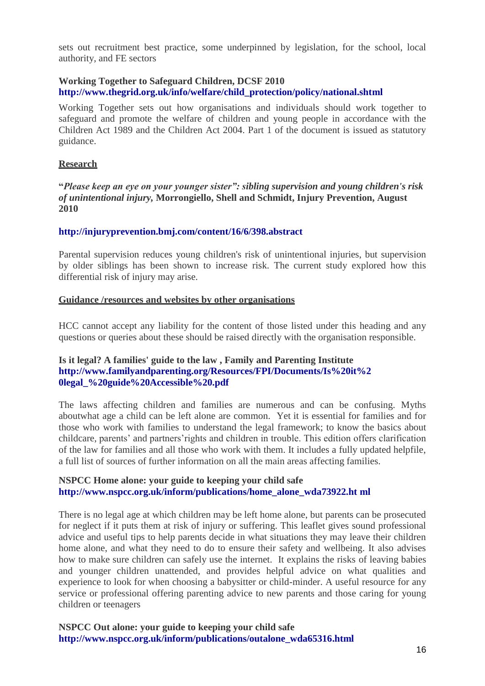sets out recruitment best practice, some underpinned by legislation, for the school, local authority, and FE sectors

#### **Working Together to Safeguard Children, DCSF 2010 [http://www.thegrid.org.uk/info/welfare/child\\_protection/policy/national.shtml](http://www.thegrid.org.uk/info/welfare/child_protection/policy/national.shtml)**

Working Together sets out how organisations and individuals should work together to safeguard and promote the welfare of children and young people in accordance with the Children Act 1989 and the Children Act 2004. Part 1 of the document is issued as statutory guidance.

#### **Research**

**"***Please keep an eye on your younger sister": sibling supervision and young children's risk of unintentional injury,* **[Morrongiello,](http://injuryprevention.bmj.com/search?author1=Barbara%2BA%2BMorrongiello&sortspec=date&submit=Submit) Shell and Schmidt, Injury Prevention, August 2010**

#### **<http://injuryprevention.bmj.com/content/16/6/398.abstract>**

Parental supervision reduces young children's risk of unintentional injuries, but supervision by older siblings has been shown to increase risk. The current study explored how this differential risk of injury may arise.

#### **Guidance /resources and websites by other organisations**

HCC cannot accept any liability for the content of those listed under this heading and any questions or queries about these should be raised directly with the organisation responsible.

#### **[Is it legal? A families' guide to the law](http://familyandparenting.org/our_work/All-Our-Publications/For-Families/Is%2Bit%2Blegal%2Bmar%2B28) , Family and Parenting Institute [http://www.familyandparenting.org/Resources/FPI/Documents/Is%20it%2](http://www.familyandparenting.org/Resources/FPI/Documents/Is%20it%20legal_%20guide%20Accessible%20.pdf) [0legal\\_%20guide%20Accessible%20.pdf](http://www.familyandparenting.org/Resources/FPI/Documents/Is%20it%20legal_%20guide%20Accessible%20.pdf)**

The laws affecting children and families are numerous and can be confusing. Myths aboutwhat age a child can be left alone are common. Yet it is essential for families and for those who work with families to understand the legal framework; to know the basics about childcare, parents' and partners'rights and children in trouble. This edition offers clarification of the law for families and all those who work with them. It includes a fully updated helpfile, a full list of sources of further information on all the main areas affecting families.

#### **NSPCC [Home alone: your guide to keeping your child safe](http://www.nspcc.org.uk/Inform/publications/downloads/homealone_wdf48204.pdf) [http://www.nspcc.org.uk/inform/publications/home\\_alone\\_wda73922.ht](http://www.nspcc.org.uk/inform/publications/home_alone_wda73922.html) [ml](http://www.nspcc.org.uk/inform/publications/home_alone_wda73922.html)**

There is no legal age at which children may be left home alone, but parents can be prosecuted for neglect if it puts them at risk of injury or suffering. This leaflet gives sound professional advice and useful tips to help parents decide in what situations they may leave their children home alone, and what they need to do to ensure their safety and wellbeing. It also advises how to make sure children can safely use the internet. It explains the risks of leaving babies and younger children unattended, and provides helpful advice on what qualities and experience to look for when choosing a babysitter or child-minder. A useful resource for any service or professional offering parenting advice to new parents and those caring for young children or teenagers

**NSPCC Out alone: your guide to keeping your child safe [http://www.nspcc.org.uk/inform/publications/outalone\\_wda65316.html](http://www.nspcc.org.uk/inform/publications/outalone_wda65316.html)**